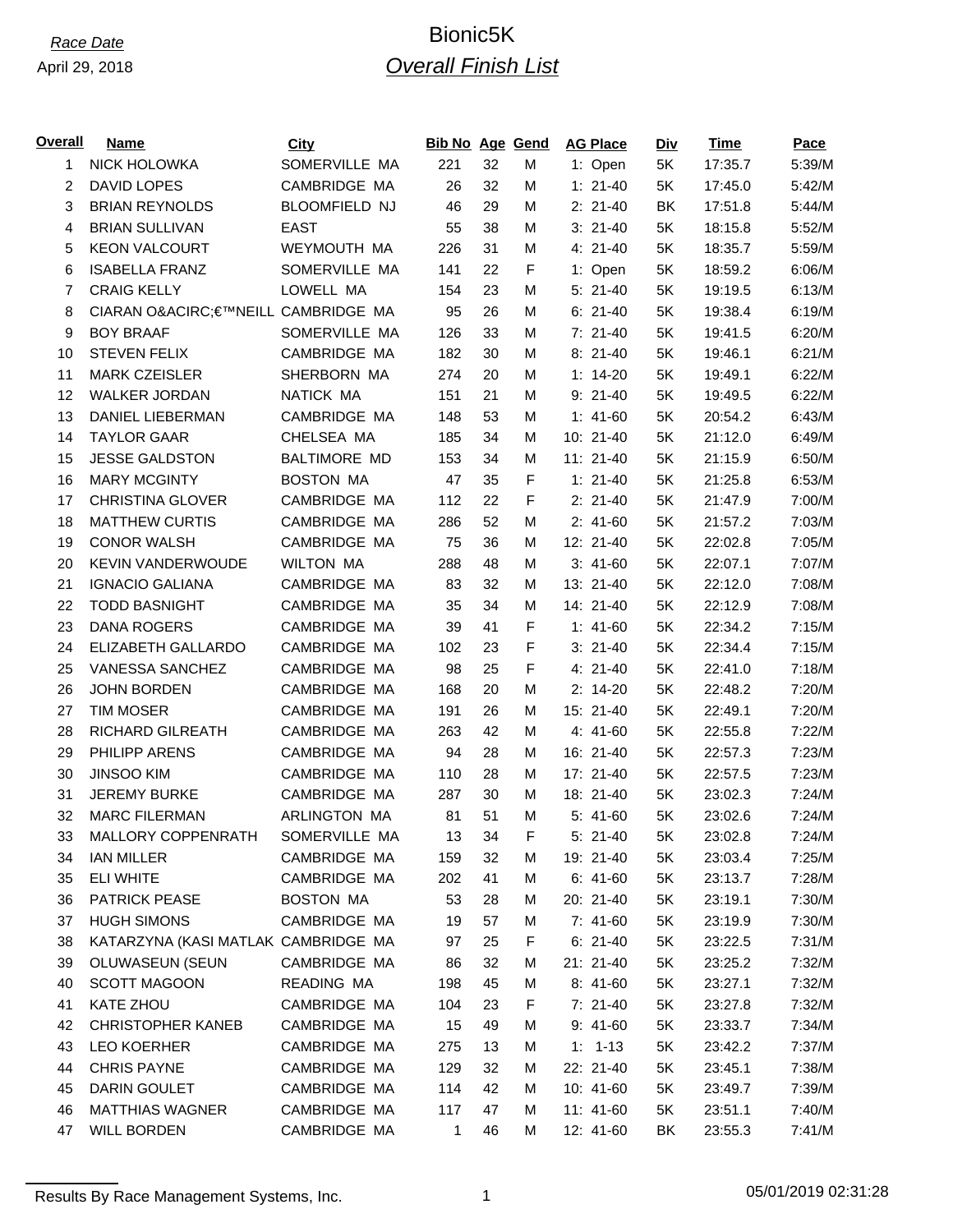| <b>NICK HOLOWKA</b><br>SOMERVILLE MA<br>32<br>M<br>1: Open<br>5K<br>17:35.7<br>$\mathbf{1}$<br>221<br><b>DAVID LOPES</b><br>CAMBRIDGE MA<br>2<br>26<br>32<br>$1: 21-40$<br>17:45.0<br>М<br>5K<br><b>BLOOMFIELD NJ</b><br>3<br><b>BRIAN REYNOLDS</b><br>46<br>29<br>$2: 21-40$<br>BK<br>17:51.8<br>M<br><b>BRIAN SULLIVAN</b><br><b>EAST</b><br>38<br>$3: 21-40$<br>4<br>55<br>M<br>5K<br>18:15.8<br>31<br><b>KEON VALCOURT</b><br>WEYMOUTH MA<br>4: 21-40<br>5K<br>18:35.7<br>5<br>226<br>M<br>SOMERVILLE MA<br>F<br><b>ISABELLA FRANZ</b><br>141<br>22<br>1: Open<br>5K<br>18:59.2<br>6<br><b>CRAIG KELLY</b><br>23<br>$\overline{7}$<br>LOWELL MA<br>M<br>$5:21-40$<br>5K<br>19:19.5<br>154<br>CIARAN O€™NEILL CAMBRIDGE MA<br>26<br>$6: 21-40$<br>8<br>95<br>M<br>5K<br>19:38.4<br>33<br>9<br><b>BOY BRAAF</b><br>SOMERVILLE MA<br>$7:21-40$<br>5K<br>19:41.5<br>126<br>M<br>CAMBRIDGE MA<br><b>STEVEN FELIX</b><br>182<br>30<br>$8:21-40$<br>5K<br>19:46.1<br>10<br>M<br>SHERBORN MA<br>11<br><b>MARK CZEISLER</b><br>274<br>20<br>5K<br>19:49.1<br>M<br>$1: 14-20$<br>12<br><b>WALKER JORDAN</b><br>NATICK MA<br>21<br>9: 21-40<br>151<br>M<br>5K<br>19:49.5<br>CAMBRIDGE MA<br>53<br>13<br>DANIEL LIEBERMAN<br>5K<br>20:54.2<br>148<br>M<br>$1: 41-60$<br>14<br><b>TAYLOR GAAR</b><br>CHELSEA MA<br>34<br>10: 21-40<br>5K<br>21:12.0<br>185<br>М<br>34<br>15<br><b>JESSE GALDSTON</b><br><b>BALTIMORE MD</b><br>153<br>M<br>$11: 21-40$<br>5K<br>21:15.9<br><b>BOSTON MA</b><br>F<br><b>MARY MCGINTY</b><br>47<br>35<br>$1: 21-40$<br>5K<br>21:25.8<br>16<br>22<br>F<br>17<br><b>CHRISTINA GLOVER</b><br>CAMBRIDGE MA<br>112<br>$2: 21-40$<br>5K<br>21:47.9<br><b>MATTHEW CURTIS</b><br>CAMBRIDGE MA<br>52<br>18<br>286<br>$2: 41-60$<br>5K<br>21:57.2<br>M<br>CAMBRIDGE MA<br>19<br><b>CONOR WALSH</b><br>75<br>36<br>5K<br>22:02.8<br>м<br>12: 21-40<br>20<br><b>KEVIN VANDERWOUDE</b><br><b>WILTON MA</b><br>48<br>22:07.1<br>288<br>M<br>$3: 41-60$<br>5K<br>32<br>21<br><b>IGNACIO GALIANA</b><br>CAMBRIDGE MA<br>83<br>5K<br>22:12.0<br>M<br>13: 21-40<br>CAMBRIDGE MA<br>34<br>22<br><b>TODD BASNIGHT</b><br>35<br>14: 21-40<br>5K<br>22:12.9<br>M<br>23<br><b>DANA ROGERS</b><br>CAMBRIDGE MA<br>41<br>F<br>39<br>$1: 41-60$<br>5K<br>22:34.2<br>F<br>24<br>ELIZABETH GALLARDO<br>CAMBRIDGE MA<br>23<br>$3: 21-40$<br>5K<br>22:34.4<br>102<br>CAMBRIDGE MA<br>25<br>F<br>25<br><b>VANESSA SANCHEZ</b><br>98<br>4: 21-40<br>5K<br>22:41.0<br>CAMBRIDGE MA<br>26<br><b>JOHN BORDEN</b><br>168<br>20<br>5K<br>22:48.2<br>M<br>$2: 14-20$<br>CAMBRIDGE MA<br>27<br><b>TIM MOSER</b><br>26<br>5K<br>22:49.1<br>191<br>M<br>15: 21-40<br>42<br>28<br>RICHARD GILREATH<br>CAMBRIDGE MA<br>4: 41-60<br>5K<br>22:55.8<br>263<br>M<br>CAMBRIDGE MA<br>29<br>PHILIPP ARENS<br>28<br>5K<br>94<br>M<br>16: 21-40<br>22:57.3<br>CAMBRIDGE MA<br>30<br><b>JINSOO KIM</b><br>110<br>28<br>5K<br>22:57.5<br>M<br>17: 21-40<br><b>JEREMY BURKE</b><br>31<br>CAMBRIDGE MA<br>30<br>5K<br>23:02.3<br>287<br>м<br>18: 21-40<br>ARLINGTON MA<br>32<br><b>MARC FILERMAN</b><br>81<br>51<br>M<br>5: 41-60<br>5K<br>23:02.6<br>33<br><b>MALLORY COPPENRATH</b><br>SOMERVILLE MA<br>13<br>34<br>F<br>$5:21-40$<br>5K<br>23:02.8<br><b>IAN MILLER</b><br>CAMBRIDGE MA<br>34<br>159<br>32<br>19: 21-40<br>5K<br>23:03.4<br>м<br>ELI WHITE<br>CAMBRIDGE MA<br>41<br>35<br>202<br>M<br>$6: 41-60$<br>5K<br>23:13.7<br><b>PATRICK PEASE</b><br><b>BOSTON MA</b><br>36<br>53<br>28<br>M<br>20: 21-40<br>5K<br>23:19.1<br><b>HUGH SIMONS</b><br>CAMBRIDGE MA<br>57<br>37<br>19<br>M<br>$7: 41-60$<br>5K<br>23:19.9<br>KATARZYNA (KASI MATLAK CAMBRIDGE MA<br>F<br>38<br>97<br>25<br>$6: 21-40$<br>5K<br>23:22.5<br>32<br>39<br>OLUWASEUN (SEUN<br>CAMBRIDGE MA<br>M<br>21: 21-40<br>5K<br>23:25.2<br>86<br><b>SCOTT MAGOON</b><br>45<br>40<br>READING MA<br>M<br>$8:41-60$<br>5K<br>23:27.1<br>198<br>KATE ZHOU<br>CAMBRIDGE MA<br>23<br>F<br>41<br>$7:21-40$<br>5K<br>23:27.8<br>104<br>42<br><b>CHRISTOPHER KANEB</b><br>CAMBRIDGE MA<br>49<br>15<br>M<br>$9:41-60$<br>5K<br>23:33.7<br>43<br>CAMBRIDGE MA<br><b>LEO KOERHER</b><br>275<br>13<br>м<br>$1: 1-13$<br>5K<br>23:42.2<br><b>CHRIS PAYNE</b><br>CAMBRIDGE MA<br>44<br>129<br>32<br>M<br>22: 21-40<br>5K<br>23:45.1<br>DARIN GOULET<br>CAMBRIDGE MA<br>42<br>45<br>114<br>M<br>10: 41-60<br>5K<br>23:49.7<br><b>MATTHIAS WAGNER</b><br>CAMBRIDGE MA<br>46<br>117<br>47<br>М<br>11: 41-60<br>5K<br>23:51.1<br><b>WILL BORDEN</b><br>CAMBRIDGE MA<br>BK<br>47<br>1<br>46<br>М<br>12: 41-60<br>23:55.3 | <b>Overall</b> | <b>Name</b> | <b>City</b> | <b>Bib No Age Gend</b> |  | <b>AG Place</b> | <b>Div</b> | <b>Time</b> | Pace   |
|---------------------------------------------------------------------------------------------------------------------------------------------------------------------------------------------------------------------------------------------------------------------------------------------------------------------------------------------------------------------------------------------------------------------------------------------------------------------------------------------------------------------------------------------------------------------------------------------------------------------------------------------------------------------------------------------------------------------------------------------------------------------------------------------------------------------------------------------------------------------------------------------------------------------------------------------------------------------------------------------------------------------------------------------------------------------------------------------------------------------------------------------------------------------------------------------------------------------------------------------------------------------------------------------------------------------------------------------------------------------------------------------------------------------------------------------------------------------------------------------------------------------------------------------------------------------------------------------------------------------------------------------------------------------------------------------------------------------------------------------------------------------------------------------------------------------------------------------------------------------------------------------------------------------------------------------------------------------------------------------------------------------------------------------------------------------------------------------------------------------------------------------------------------------------------------------------------------------------------------------------------------------------------------------------------------------------------------------------------------------------------------------------------------------------------------------------------------------------------------------------------------------------------------------------------------------------------------------------------------------------------------------------------------------------------------------------------------------------------------------------------------------------------------------------------------------------------------------------------------------------------------------------------------------------------------------------------------------------------------------------------------------------------------------------------------------------------------------------------------------------------------------------------------------------------------------------------------------------------------------------------------------------------------------------------------------------------------------------------------------------------------------------------------------------------------------------------------------------------------------------------------------------------------------------------------------------------------------------------------------------------------------------------------------------------------------------------------------------------------------------------------------------------------------------------------------------------------------------------------------------------------------------------------------------------------------------------------------------------------------------------------------------------------------------------------------------------------------------------------------------------------------------------------------------------------------------------------------------------------------------------------------------------------------------------------------------------------------------------------------------------------------------------------------------------------------------------------------------------------------------------------------------------------------|----------------|-------------|-------------|------------------------|--|-----------------|------------|-------------|--------|
|                                                                                                                                                                                                                                                                                                                                                                                                                                                                                                                                                                                                                                                                                                                                                                                                                                                                                                                                                                                                                                                                                                                                                                                                                                                                                                                                                                                                                                                                                                                                                                                                                                                                                                                                                                                                                                                                                                                                                                                                                                                                                                                                                                                                                                                                                                                                                                                                                                                                                                                                                                                                                                                                                                                                                                                                                                                                                                                                                                                                                                                                                                                                                                                                                                                                                                                                                                                                                                                                                                                                                                                                                                                                                                                                                                                                                                                                                                                                                                                                                                                                                                                                                                                                                                                                                                                                                                                                                                                                                                                                             |                |             |             |                        |  |                 |            |             | 5:39/M |
|                                                                                                                                                                                                                                                                                                                                                                                                                                                                                                                                                                                                                                                                                                                                                                                                                                                                                                                                                                                                                                                                                                                                                                                                                                                                                                                                                                                                                                                                                                                                                                                                                                                                                                                                                                                                                                                                                                                                                                                                                                                                                                                                                                                                                                                                                                                                                                                                                                                                                                                                                                                                                                                                                                                                                                                                                                                                                                                                                                                                                                                                                                                                                                                                                                                                                                                                                                                                                                                                                                                                                                                                                                                                                                                                                                                                                                                                                                                                                                                                                                                                                                                                                                                                                                                                                                                                                                                                                                                                                                                                             |                |             |             |                        |  |                 |            |             | 5:42/M |
|                                                                                                                                                                                                                                                                                                                                                                                                                                                                                                                                                                                                                                                                                                                                                                                                                                                                                                                                                                                                                                                                                                                                                                                                                                                                                                                                                                                                                                                                                                                                                                                                                                                                                                                                                                                                                                                                                                                                                                                                                                                                                                                                                                                                                                                                                                                                                                                                                                                                                                                                                                                                                                                                                                                                                                                                                                                                                                                                                                                                                                                                                                                                                                                                                                                                                                                                                                                                                                                                                                                                                                                                                                                                                                                                                                                                                                                                                                                                                                                                                                                                                                                                                                                                                                                                                                                                                                                                                                                                                                                                             |                |             |             |                        |  |                 |            |             | 5:44/M |
|                                                                                                                                                                                                                                                                                                                                                                                                                                                                                                                                                                                                                                                                                                                                                                                                                                                                                                                                                                                                                                                                                                                                                                                                                                                                                                                                                                                                                                                                                                                                                                                                                                                                                                                                                                                                                                                                                                                                                                                                                                                                                                                                                                                                                                                                                                                                                                                                                                                                                                                                                                                                                                                                                                                                                                                                                                                                                                                                                                                                                                                                                                                                                                                                                                                                                                                                                                                                                                                                                                                                                                                                                                                                                                                                                                                                                                                                                                                                                                                                                                                                                                                                                                                                                                                                                                                                                                                                                                                                                                                                             |                |             |             |                        |  |                 |            |             | 5:52/M |
|                                                                                                                                                                                                                                                                                                                                                                                                                                                                                                                                                                                                                                                                                                                                                                                                                                                                                                                                                                                                                                                                                                                                                                                                                                                                                                                                                                                                                                                                                                                                                                                                                                                                                                                                                                                                                                                                                                                                                                                                                                                                                                                                                                                                                                                                                                                                                                                                                                                                                                                                                                                                                                                                                                                                                                                                                                                                                                                                                                                                                                                                                                                                                                                                                                                                                                                                                                                                                                                                                                                                                                                                                                                                                                                                                                                                                                                                                                                                                                                                                                                                                                                                                                                                                                                                                                                                                                                                                                                                                                                                             |                |             |             |                        |  |                 |            |             | 5:59/M |
|                                                                                                                                                                                                                                                                                                                                                                                                                                                                                                                                                                                                                                                                                                                                                                                                                                                                                                                                                                                                                                                                                                                                                                                                                                                                                                                                                                                                                                                                                                                                                                                                                                                                                                                                                                                                                                                                                                                                                                                                                                                                                                                                                                                                                                                                                                                                                                                                                                                                                                                                                                                                                                                                                                                                                                                                                                                                                                                                                                                                                                                                                                                                                                                                                                                                                                                                                                                                                                                                                                                                                                                                                                                                                                                                                                                                                                                                                                                                                                                                                                                                                                                                                                                                                                                                                                                                                                                                                                                                                                                                             |                |             |             |                        |  |                 |            |             | 6:06/M |
|                                                                                                                                                                                                                                                                                                                                                                                                                                                                                                                                                                                                                                                                                                                                                                                                                                                                                                                                                                                                                                                                                                                                                                                                                                                                                                                                                                                                                                                                                                                                                                                                                                                                                                                                                                                                                                                                                                                                                                                                                                                                                                                                                                                                                                                                                                                                                                                                                                                                                                                                                                                                                                                                                                                                                                                                                                                                                                                                                                                                                                                                                                                                                                                                                                                                                                                                                                                                                                                                                                                                                                                                                                                                                                                                                                                                                                                                                                                                                                                                                                                                                                                                                                                                                                                                                                                                                                                                                                                                                                                                             |                |             |             |                        |  |                 |            |             | 6:13/M |
|                                                                                                                                                                                                                                                                                                                                                                                                                                                                                                                                                                                                                                                                                                                                                                                                                                                                                                                                                                                                                                                                                                                                                                                                                                                                                                                                                                                                                                                                                                                                                                                                                                                                                                                                                                                                                                                                                                                                                                                                                                                                                                                                                                                                                                                                                                                                                                                                                                                                                                                                                                                                                                                                                                                                                                                                                                                                                                                                                                                                                                                                                                                                                                                                                                                                                                                                                                                                                                                                                                                                                                                                                                                                                                                                                                                                                                                                                                                                                                                                                                                                                                                                                                                                                                                                                                                                                                                                                                                                                                                                             |                |             |             |                        |  |                 |            |             | 6:19/M |
|                                                                                                                                                                                                                                                                                                                                                                                                                                                                                                                                                                                                                                                                                                                                                                                                                                                                                                                                                                                                                                                                                                                                                                                                                                                                                                                                                                                                                                                                                                                                                                                                                                                                                                                                                                                                                                                                                                                                                                                                                                                                                                                                                                                                                                                                                                                                                                                                                                                                                                                                                                                                                                                                                                                                                                                                                                                                                                                                                                                                                                                                                                                                                                                                                                                                                                                                                                                                                                                                                                                                                                                                                                                                                                                                                                                                                                                                                                                                                                                                                                                                                                                                                                                                                                                                                                                                                                                                                                                                                                                                             |                |             |             |                        |  |                 |            |             | 6:20/M |
|                                                                                                                                                                                                                                                                                                                                                                                                                                                                                                                                                                                                                                                                                                                                                                                                                                                                                                                                                                                                                                                                                                                                                                                                                                                                                                                                                                                                                                                                                                                                                                                                                                                                                                                                                                                                                                                                                                                                                                                                                                                                                                                                                                                                                                                                                                                                                                                                                                                                                                                                                                                                                                                                                                                                                                                                                                                                                                                                                                                                                                                                                                                                                                                                                                                                                                                                                                                                                                                                                                                                                                                                                                                                                                                                                                                                                                                                                                                                                                                                                                                                                                                                                                                                                                                                                                                                                                                                                                                                                                                                             |                |             |             |                        |  |                 |            |             | 6:21/M |
|                                                                                                                                                                                                                                                                                                                                                                                                                                                                                                                                                                                                                                                                                                                                                                                                                                                                                                                                                                                                                                                                                                                                                                                                                                                                                                                                                                                                                                                                                                                                                                                                                                                                                                                                                                                                                                                                                                                                                                                                                                                                                                                                                                                                                                                                                                                                                                                                                                                                                                                                                                                                                                                                                                                                                                                                                                                                                                                                                                                                                                                                                                                                                                                                                                                                                                                                                                                                                                                                                                                                                                                                                                                                                                                                                                                                                                                                                                                                                                                                                                                                                                                                                                                                                                                                                                                                                                                                                                                                                                                                             |                |             |             |                        |  |                 |            |             | 6:22/M |
|                                                                                                                                                                                                                                                                                                                                                                                                                                                                                                                                                                                                                                                                                                                                                                                                                                                                                                                                                                                                                                                                                                                                                                                                                                                                                                                                                                                                                                                                                                                                                                                                                                                                                                                                                                                                                                                                                                                                                                                                                                                                                                                                                                                                                                                                                                                                                                                                                                                                                                                                                                                                                                                                                                                                                                                                                                                                                                                                                                                                                                                                                                                                                                                                                                                                                                                                                                                                                                                                                                                                                                                                                                                                                                                                                                                                                                                                                                                                                                                                                                                                                                                                                                                                                                                                                                                                                                                                                                                                                                                                             |                |             |             |                        |  |                 |            |             | 6:22/M |
|                                                                                                                                                                                                                                                                                                                                                                                                                                                                                                                                                                                                                                                                                                                                                                                                                                                                                                                                                                                                                                                                                                                                                                                                                                                                                                                                                                                                                                                                                                                                                                                                                                                                                                                                                                                                                                                                                                                                                                                                                                                                                                                                                                                                                                                                                                                                                                                                                                                                                                                                                                                                                                                                                                                                                                                                                                                                                                                                                                                                                                                                                                                                                                                                                                                                                                                                                                                                                                                                                                                                                                                                                                                                                                                                                                                                                                                                                                                                                                                                                                                                                                                                                                                                                                                                                                                                                                                                                                                                                                                                             |                |             |             |                        |  |                 |            |             | 6:43/M |
|                                                                                                                                                                                                                                                                                                                                                                                                                                                                                                                                                                                                                                                                                                                                                                                                                                                                                                                                                                                                                                                                                                                                                                                                                                                                                                                                                                                                                                                                                                                                                                                                                                                                                                                                                                                                                                                                                                                                                                                                                                                                                                                                                                                                                                                                                                                                                                                                                                                                                                                                                                                                                                                                                                                                                                                                                                                                                                                                                                                                                                                                                                                                                                                                                                                                                                                                                                                                                                                                                                                                                                                                                                                                                                                                                                                                                                                                                                                                                                                                                                                                                                                                                                                                                                                                                                                                                                                                                                                                                                                                             |                |             |             |                        |  |                 |            |             | 6:49/M |
|                                                                                                                                                                                                                                                                                                                                                                                                                                                                                                                                                                                                                                                                                                                                                                                                                                                                                                                                                                                                                                                                                                                                                                                                                                                                                                                                                                                                                                                                                                                                                                                                                                                                                                                                                                                                                                                                                                                                                                                                                                                                                                                                                                                                                                                                                                                                                                                                                                                                                                                                                                                                                                                                                                                                                                                                                                                                                                                                                                                                                                                                                                                                                                                                                                                                                                                                                                                                                                                                                                                                                                                                                                                                                                                                                                                                                                                                                                                                                                                                                                                                                                                                                                                                                                                                                                                                                                                                                                                                                                                                             |                |             |             |                        |  |                 |            |             | 6:50/M |
|                                                                                                                                                                                                                                                                                                                                                                                                                                                                                                                                                                                                                                                                                                                                                                                                                                                                                                                                                                                                                                                                                                                                                                                                                                                                                                                                                                                                                                                                                                                                                                                                                                                                                                                                                                                                                                                                                                                                                                                                                                                                                                                                                                                                                                                                                                                                                                                                                                                                                                                                                                                                                                                                                                                                                                                                                                                                                                                                                                                                                                                                                                                                                                                                                                                                                                                                                                                                                                                                                                                                                                                                                                                                                                                                                                                                                                                                                                                                                                                                                                                                                                                                                                                                                                                                                                                                                                                                                                                                                                                                             |                |             |             |                        |  |                 |            |             | 6:53/M |
|                                                                                                                                                                                                                                                                                                                                                                                                                                                                                                                                                                                                                                                                                                                                                                                                                                                                                                                                                                                                                                                                                                                                                                                                                                                                                                                                                                                                                                                                                                                                                                                                                                                                                                                                                                                                                                                                                                                                                                                                                                                                                                                                                                                                                                                                                                                                                                                                                                                                                                                                                                                                                                                                                                                                                                                                                                                                                                                                                                                                                                                                                                                                                                                                                                                                                                                                                                                                                                                                                                                                                                                                                                                                                                                                                                                                                                                                                                                                                                                                                                                                                                                                                                                                                                                                                                                                                                                                                                                                                                                                             |                |             |             |                        |  |                 |            |             | 7:00/M |
|                                                                                                                                                                                                                                                                                                                                                                                                                                                                                                                                                                                                                                                                                                                                                                                                                                                                                                                                                                                                                                                                                                                                                                                                                                                                                                                                                                                                                                                                                                                                                                                                                                                                                                                                                                                                                                                                                                                                                                                                                                                                                                                                                                                                                                                                                                                                                                                                                                                                                                                                                                                                                                                                                                                                                                                                                                                                                                                                                                                                                                                                                                                                                                                                                                                                                                                                                                                                                                                                                                                                                                                                                                                                                                                                                                                                                                                                                                                                                                                                                                                                                                                                                                                                                                                                                                                                                                                                                                                                                                                                             |                |             |             |                        |  |                 |            |             | 7:03/M |
|                                                                                                                                                                                                                                                                                                                                                                                                                                                                                                                                                                                                                                                                                                                                                                                                                                                                                                                                                                                                                                                                                                                                                                                                                                                                                                                                                                                                                                                                                                                                                                                                                                                                                                                                                                                                                                                                                                                                                                                                                                                                                                                                                                                                                                                                                                                                                                                                                                                                                                                                                                                                                                                                                                                                                                                                                                                                                                                                                                                                                                                                                                                                                                                                                                                                                                                                                                                                                                                                                                                                                                                                                                                                                                                                                                                                                                                                                                                                                                                                                                                                                                                                                                                                                                                                                                                                                                                                                                                                                                                                             |                |             |             |                        |  |                 |            |             | 7:05/M |
|                                                                                                                                                                                                                                                                                                                                                                                                                                                                                                                                                                                                                                                                                                                                                                                                                                                                                                                                                                                                                                                                                                                                                                                                                                                                                                                                                                                                                                                                                                                                                                                                                                                                                                                                                                                                                                                                                                                                                                                                                                                                                                                                                                                                                                                                                                                                                                                                                                                                                                                                                                                                                                                                                                                                                                                                                                                                                                                                                                                                                                                                                                                                                                                                                                                                                                                                                                                                                                                                                                                                                                                                                                                                                                                                                                                                                                                                                                                                                                                                                                                                                                                                                                                                                                                                                                                                                                                                                                                                                                                                             |                |             |             |                        |  |                 |            |             | 7:07/M |
|                                                                                                                                                                                                                                                                                                                                                                                                                                                                                                                                                                                                                                                                                                                                                                                                                                                                                                                                                                                                                                                                                                                                                                                                                                                                                                                                                                                                                                                                                                                                                                                                                                                                                                                                                                                                                                                                                                                                                                                                                                                                                                                                                                                                                                                                                                                                                                                                                                                                                                                                                                                                                                                                                                                                                                                                                                                                                                                                                                                                                                                                                                                                                                                                                                                                                                                                                                                                                                                                                                                                                                                                                                                                                                                                                                                                                                                                                                                                                                                                                                                                                                                                                                                                                                                                                                                                                                                                                                                                                                                                             |                |             |             |                        |  |                 |            |             | 7:08/M |
|                                                                                                                                                                                                                                                                                                                                                                                                                                                                                                                                                                                                                                                                                                                                                                                                                                                                                                                                                                                                                                                                                                                                                                                                                                                                                                                                                                                                                                                                                                                                                                                                                                                                                                                                                                                                                                                                                                                                                                                                                                                                                                                                                                                                                                                                                                                                                                                                                                                                                                                                                                                                                                                                                                                                                                                                                                                                                                                                                                                                                                                                                                                                                                                                                                                                                                                                                                                                                                                                                                                                                                                                                                                                                                                                                                                                                                                                                                                                                                                                                                                                                                                                                                                                                                                                                                                                                                                                                                                                                                                                             |                |             |             |                        |  |                 |            |             | 7:08/M |
|                                                                                                                                                                                                                                                                                                                                                                                                                                                                                                                                                                                                                                                                                                                                                                                                                                                                                                                                                                                                                                                                                                                                                                                                                                                                                                                                                                                                                                                                                                                                                                                                                                                                                                                                                                                                                                                                                                                                                                                                                                                                                                                                                                                                                                                                                                                                                                                                                                                                                                                                                                                                                                                                                                                                                                                                                                                                                                                                                                                                                                                                                                                                                                                                                                                                                                                                                                                                                                                                                                                                                                                                                                                                                                                                                                                                                                                                                                                                                                                                                                                                                                                                                                                                                                                                                                                                                                                                                                                                                                                                             |                |             |             |                        |  |                 |            |             | 7:15/M |
|                                                                                                                                                                                                                                                                                                                                                                                                                                                                                                                                                                                                                                                                                                                                                                                                                                                                                                                                                                                                                                                                                                                                                                                                                                                                                                                                                                                                                                                                                                                                                                                                                                                                                                                                                                                                                                                                                                                                                                                                                                                                                                                                                                                                                                                                                                                                                                                                                                                                                                                                                                                                                                                                                                                                                                                                                                                                                                                                                                                                                                                                                                                                                                                                                                                                                                                                                                                                                                                                                                                                                                                                                                                                                                                                                                                                                                                                                                                                                                                                                                                                                                                                                                                                                                                                                                                                                                                                                                                                                                                                             |                |             |             |                        |  |                 |            |             | 7:15/M |
|                                                                                                                                                                                                                                                                                                                                                                                                                                                                                                                                                                                                                                                                                                                                                                                                                                                                                                                                                                                                                                                                                                                                                                                                                                                                                                                                                                                                                                                                                                                                                                                                                                                                                                                                                                                                                                                                                                                                                                                                                                                                                                                                                                                                                                                                                                                                                                                                                                                                                                                                                                                                                                                                                                                                                                                                                                                                                                                                                                                                                                                                                                                                                                                                                                                                                                                                                                                                                                                                                                                                                                                                                                                                                                                                                                                                                                                                                                                                                                                                                                                                                                                                                                                                                                                                                                                                                                                                                                                                                                                                             |                |             |             |                        |  |                 |            |             | 7:18/M |
|                                                                                                                                                                                                                                                                                                                                                                                                                                                                                                                                                                                                                                                                                                                                                                                                                                                                                                                                                                                                                                                                                                                                                                                                                                                                                                                                                                                                                                                                                                                                                                                                                                                                                                                                                                                                                                                                                                                                                                                                                                                                                                                                                                                                                                                                                                                                                                                                                                                                                                                                                                                                                                                                                                                                                                                                                                                                                                                                                                                                                                                                                                                                                                                                                                                                                                                                                                                                                                                                                                                                                                                                                                                                                                                                                                                                                                                                                                                                                                                                                                                                                                                                                                                                                                                                                                                                                                                                                                                                                                                                             |                |             |             |                        |  |                 |            |             | 7:20/M |
|                                                                                                                                                                                                                                                                                                                                                                                                                                                                                                                                                                                                                                                                                                                                                                                                                                                                                                                                                                                                                                                                                                                                                                                                                                                                                                                                                                                                                                                                                                                                                                                                                                                                                                                                                                                                                                                                                                                                                                                                                                                                                                                                                                                                                                                                                                                                                                                                                                                                                                                                                                                                                                                                                                                                                                                                                                                                                                                                                                                                                                                                                                                                                                                                                                                                                                                                                                                                                                                                                                                                                                                                                                                                                                                                                                                                                                                                                                                                                                                                                                                                                                                                                                                                                                                                                                                                                                                                                                                                                                                                             |                |             |             |                        |  |                 |            |             | 7:20/M |
|                                                                                                                                                                                                                                                                                                                                                                                                                                                                                                                                                                                                                                                                                                                                                                                                                                                                                                                                                                                                                                                                                                                                                                                                                                                                                                                                                                                                                                                                                                                                                                                                                                                                                                                                                                                                                                                                                                                                                                                                                                                                                                                                                                                                                                                                                                                                                                                                                                                                                                                                                                                                                                                                                                                                                                                                                                                                                                                                                                                                                                                                                                                                                                                                                                                                                                                                                                                                                                                                                                                                                                                                                                                                                                                                                                                                                                                                                                                                                                                                                                                                                                                                                                                                                                                                                                                                                                                                                                                                                                                                             |                |             |             |                        |  |                 |            |             | 7:22/M |
|                                                                                                                                                                                                                                                                                                                                                                                                                                                                                                                                                                                                                                                                                                                                                                                                                                                                                                                                                                                                                                                                                                                                                                                                                                                                                                                                                                                                                                                                                                                                                                                                                                                                                                                                                                                                                                                                                                                                                                                                                                                                                                                                                                                                                                                                                                                                                                                                                                                                                                                                                                                                                                                                                                                                                                                                                                                                                                                                                                                                                                                                                                                                                                                                                                                                                                                                                                                                                                                                                                                                                                                                                                                                                                                                                                                                                                                                                                                                                                                                                                                                                                                                                                                                                                                                                                                                                                                                                                                                                                                                             |                |             |             |                        |  |                 |            |             | 7:23/M |
|                                                                                                                                                                                                                                                                                                                                                                                                                                                                                                                                                                                                                                                                                                                                                                                                                                                                                                                                                                                                                                                                                                                                                                                                                                                                                                                                                                                                                                                                                                                                                                                                                                                                                                                                                                                                                                                                                                                                                                                                                                                                                                                                                                                                                                                                                                                                                                                                                                                                                                                                                                                                                                                                                                                                                                                                                                                                                                                                                                                                                                                                                                                                                                                                                                                                                                                                                                                                                                                                                                                                                                                                                                                                                                                                                                                                                                                                                                                                                                                                                                                                                                                                                                                                                                                                                                                                                                                                                                                                                                                                             |                |             |             |                        |  |                 |            |             | 7:23/M |
|                                                                                                                                                                                                                                                                                                                                                                                                                                                                                                                                                                                                                                                                                                                                                                                                                                                                                                                                                                                                                                                                                                                                                                                                                                                                                                                                                                                                                                                                                                                                                                                                                                                                                                                                                                                                                                                                                                                                                                                                                                                                                                                                                                                                                                                                                                                                                                                                                                                                                                                                                                                                                                                                                                                                                                                                                                                                                                                                                                                                                                                                                                                                                                                                                                                                                                                                                                                                                                                                                                                                                                                                                                                                                                                                                                                                                                                                                                                                                                                                                                                                                                                                                                                                                                                                                                                                                                                                                                                                                                                                             |                |             |             |                        |  |                 |            |             | 7:24/M |
|                                                                                                                                                                                                                                                                                                                                                                                                                                                                                                                                                                                                                                                                                                                                                                                                                                                                                                                                                                                                                                                                                                                                                                                                                                                                                                                                                                                                                                                                                                                                                                                                                                                                                                                                                                                                                                                                                                                                                                                                                                                                                                                                                                                                                                                                                                                                                                                                                                                                                                                                                                                                                                                                                                                                                                                                                                                                                                                                                                                                                                                                                                                                                                                                                                                                                                                                                                                                                                                                                                                                                                                                                                                                                                                                                                                                                                                                                                                                                                                                                                                                                                                                                                                                                                                                                                                                                                                                                                                                                                                                             |                |             |             |                        |  |                 |            |             | 7:24/M |
|                                                                                                                                                                                                                                                                                                                                                                                                                                                                                                                                                                                                                                                                                                                                                                                                                                                                                                                                                                                                                                                                                                                                                                                                                                                                                                                                                                                                                                                                                                                                                                                                                                                                                                                                                                                                                                                                                                                                                                                                                                                                                                                                                                                                                                                                                                                                                                                                                                                                                                                                                                                                                                                                                                                                                                                                                                                                                                                                                                                                                                                                                                                                                                                                                                                                                                                                                                                                                                                                                                                                                                                                                                                                                                                                                                                                                                                                                                                                                                                                                                                                                                                                                                                                                                                                                                                                                                                                                                                                                                                                             |                |             |             |                        |  |                 |            |             | 7:24/M |
|                                                                                                                                                                                                                                                                                                                                                                                                                                                                                                                                                                                                                                                                                                                                                                                                                                                                                                                                                                                                                                                                                                                                                                                                                                                                                                                                                                                                                                                                                                                                                                                                                                                                                                                                                                                                                                                                                                                                                                                                                                                                                                                                                                                                                                                                                                                                                                                                                                                                                                                                                                                                                                                                                                                                                                                                                                                                                                                                                                                                                                                                                                                                                                                                                                                                                                                                                                                                                                                                                                                                                                                                                                                                                                                                                                                                                                                                                                                                                                                                                                                                                                                                                                                                                                                                                                                                                                                                                                                                                                                                             |                |             |             |                        |  |                 |            |             | 7:25/M |
|                                                                                                                                                                                                                                                                                                                                                                                                                                                                                                                                                                                                                                                                                                                                                                                                                                                                                                                                                                                                                                                                                                                                                                                                                                                                                                                                                                                                                                                                                                                                                                                                                                                                                                                                                                                                                                                                                                                                                                                                                                                                                                                                                                                                                                                                                                                                                                                                                                                                                                                                                                                                                                                                                                                                                                                                                                                                                                                                                                                                                                                                                                                                                                                                                                                                                                                                                                                                                                                                                                                                                                                                                                                                                                                                                                                                                                                                                                                                                                                                                                                                                                                                                                                                                                                                                                                                                                                                                                                                                                                                             |                |             |             |                        |  |                 |            |             | 7:28/M |
|                                                                                                                                                                                                                                                                                                                                                                                                                                                                                                                                                                                                                                                                                                                                                                                                                                                                                                                                                                                                                                                                                                                                                                                                                                                                                                                                                                                                                                                                                                                                                                                                                                                                                                                                                                                                                                                                                                                                                                                                                                                                                                                                                                                                                                                                                                                                                                                                                                                                                                                                                                                                                                                                                                                                                                                                                                                                                                                                                                                                                                                                                                                                                                                                                                                                                                                                                                                                                                                                                                                                                                                                                                                                                                                                                                                                                                                                                                                                                                                                                                                                                                                                                                                                                                                                                                                                                                                                                                                                                                                                             |                |             |             |                        |  |                 |            |             | 7:30/M |
|                                                                                                                                                                                                                                                                                                                                                                                                                                                                                                                                                                                                                                                                                                                                                                                                                                                                                                                                                                                                                                                                                                                                                                                                                                                                                                                                                                                                                                                                                                                                                                                                                                                                                                                                                                                                                                                                                                                                                                                                                                                                                                                                                                                                                                                                                                                                                                                                                                                                                                                                                                                                                                                                                                                                                                                                                                                                                                                                                                                                                                                                                                                                                                                                                                                                                                                                                                                                                                                                                                                                                                                                                                                                                                                                                                                                                                                                                                                                                                                                                                                                                                                                                                                                                                                                                                                                                                                                                                                                                                                                             |                |             |             |                        |  |                 |            |             | 7:30/M |
|                                                                                                                                                                                                                                                                                                                                                                                                                                                                                                                                                                                                                                                                                                                                                                                                                                                                                                                                                                                                                                                                                                                                                                                                                                                                                                                                                                                                                                                                                                                                                                                                                                                                                                                                                                                                                                                                                                                                                                                                                                                                                                                                                                                                                                                                                                                                                                                                                                                                                                                                                                                                                                                                                                                                                                                                                                                                                                                                                                                                                                                                                                                                                                                                                                                                                                                                                                                                                                                                                                                                                                                                                                                                                                                                                                                                                                                                                                                                                                                                                                                                                                                                                                                                                                                                                                                                                                                                                                                                                                                                             |                |             |             |                        |  |                 |            |             | 7:31/M |
|                                                                                                                                                                                                                                                                                                                                                                                                                                                                                                                                                                                                                                                                                                                                                                                                                                                                                                                                                                                                                                                                                                                                                                                                                                                                                                                                                                                                                                                                                                                                                                                                                                                                                                                                                                                                                                                                                                                                                                                                                                                                                                                                                                                                                                                                                                                                                                                                                                                                                                                                                                                                                                                                                                                                                                                                                                                                                                                                                                                                                                                                                                                                                                                                                                                                                                                                                                                                                                                                                                                                                                                                                                                                                                                                                                                                                                                                                                                                                                                                                                                                                                                                                                                                                                                                                                                                                                                                                                                                                                                                             |                |             |             |                        |  |                 |            |             | 7:32/M |
|                                                                                                                                                                                                                                                                                                                                                                                                                                                                                                                                                                                                                                                                                                                                                                                                                                                                                                                                                                                                                                                                                                                                                                                                                                                                                                                                                                                                                                                                                                                                                                                                                                                                                                                                                                                                                                                                                                                                                                                                                                                                                                                                                                                                                                                                                                                                                                                                                                                                                                                                                                                                                                                                                                                                                                                                                                                                                                                                                                                                                                                                                                                                                                                                                                                                                                                                                                                                                                                                                                                                                                                                                                                                                                                                                                                                                                                                                                                                                                                                                                                                                                                                                                                                                                                                                                                                                                                                                                                                                                                                             |                |             |             |                        |  |                 |            |             | 7:32/M |
|                                                                                                                                                                                                                                                                                                                                                                                                                                                                                                                                                                                                                                                                                                                                                                                                                                                                                                                                                                                                                                                                                                                                                                                                                                                                                                                                                                                                                                                                                                                                                                                                                                                                                                                                                                                                                                                                                                                                                                                                                                                                                                                                                                                                                                                                                                                                                                                                                                                                                                                                                                                                                                                                                                                                                                                                                                                                                                                                                                                                                                                                                                                                                                                                                                                                                                                                                                                                                                                                                                                                                                                                                                                                                                                                                                                                                                                                                                                                                                                                                                                                                                                                                                                                                                                                                                                                                                                                                                                                                                                                             |                |             |             |                        |  |                 |            |             | 7:32/M |
|                                                                                                                                                                                                                                                                                                                                                                                                                                                                                                                                                                                                                                                                                                                                                                                                                                                                                                                                                                                                                                                                                                                                                                                                                                                                                                                                                                                                                                                                                                                                                                                                                                                                                                                                                                                                                                                                                                                                                                                                                                                                                                                                                                                                                                                                                                                                                                                                                                                                                                                                                                                                                                                                                                                                                                                                                                                                                                                                                                                                                                                                                                                                                                                                                                                                                                                                                                                                                                                                                                                                                                                                                                                                                                                                                                                                                                                                                                                                                                                                                                                                                                                                                                                                                                                                                                                                                                                                                                                                                                                                             |                |             |             |                        |  |                 |            |             | 7:34/M |
|                                                                                                                                                                                                                                                                                                                                                                                                                                                                                                                                                                                                                                                                                                                                                                                                                                                                                                                                                                                                                                                                                                                                                                                                                                                                                                                                                                                                                                                                                                                                                                                                                                                                                                                                                                                                                                                                                                                                                                                                                                                                                                                                                                                                                                                                                                                                                                                                                                                                                                                                                                                                                                                                                                                                                                                                                                                                                                                                                                                                                                                                                                                                                                                                                                                                                                                                                                                                                                                                                                                                                                                                                                                                                                                                                                                                                                                                                                                                                                                                                                                                                                                                                                                                                                                                                                                                                                                                                                                                                                                                             |                |             |             |                        |  |                 |            |             | 7:37/M |
|                                                                                                                                                                                                                                                                                                                                                                                                                                                                                                                                                                                                                                                                                                                                                                                                                                                                                                                                                                                                                                                                                                                                                                                                                                                                                                                                                                                                                                                                                                                                                                                                                                                                                                                                                                                                                                                                                                                                                                                                                                                                                                                                                                                                                                                                                                                                                                                                                                                                                                                                                                                                                                                                                                                                                                                                                                                                                                                                                                                                                                                                                                                                                                                                                                                                                                                                                                                                                                                                                                                                                                                                                                                                                                                                                                                                                                                                                                                                                                                                                                                                                                                                                                                                                                                                                                                                                                                                                                                                                                                                             |                |             |             |                        |  |                 |            |             | 7:38/M |
|                                                                                                                                                                                                                                                                                                                                                                                                                                                                                                                                                                                                                                                                                                                                                                                                                                                                                                                                                                                                                                                                                                                                                                                                                                                                                                                                                                                                                                                                                                                                                                                                                                                                                                                                                                                                                                                                                                                                                                                                                                                                                                                                                                                                                                                                                                                                                                                                                                                                                                                                                                                                                                                                                                                                                                                                                                                                                                                                                                                                                                                                                                                                                                                                                                                                                                                                                                                                                                                                                                                                                                                                                                                                                                                                                                                                                                                                                                                                                                                                                                                                                                                                                                                                                                                                                                                                                                                                                                                                                                                                             |                |             |             |                        |  |                 |            |             | 7:39/M |
|                                                                                                                                                                                                                                                                                                                                                                                                                                                                                                                                                                                                                                                                                                                                                                                                                                                                                                                                                                                                                                                                                                                                                                                                                                                                                                                                                                                                                                                                                                                                                                                                                                                                                                                                                                                                                                                                                                                                                                                                                                                                                                                                                                                                                                                                                                                                                                                                                                                                                                                                                                                                                                                                                                                                                                                                                                                                                                                                                                                                                                                                                                                                                                                                                                                                                                                                                                                                                                                                                                                                                                                                                                                                                                                                                                                                                                                                                                                                                                                                                                                                                                                                                                                                                                                                                                                                                                                                                                                                                                                                             |                |             |             |                        |  |                 |            |             | 7:40/M |
|                                                                                                                                                                                                                                                                                                                                                                                                                                                                                                                                                                                                                                                                                                                                                                                                                                                                                                                                                                                                                                                                                                                                                                                                                                                                                                                                                                                                                                                                                                                                                                                                                                                                                                                                                                                                                                                                                                                                                                                                                                                                                                                                                                                                                                                                                                                                                                                                                                                                                                                                                                                                                                                                                                                                                                                                                                                                                                                                                                                                                                                                                                                                                                                                                                                                                                                                                                                                                                                                                                                                                                                                                                                                                                                                                                                                                                                                                                                                                                                                                                                                                                                                                                                                                                                                                                                                                                                                                                                                                                                                             |                |             |             |                        |  |                 |            |             | 7:41/M |

Results By Race Management Systems, Inc. 1 05/01/2019 02:31:28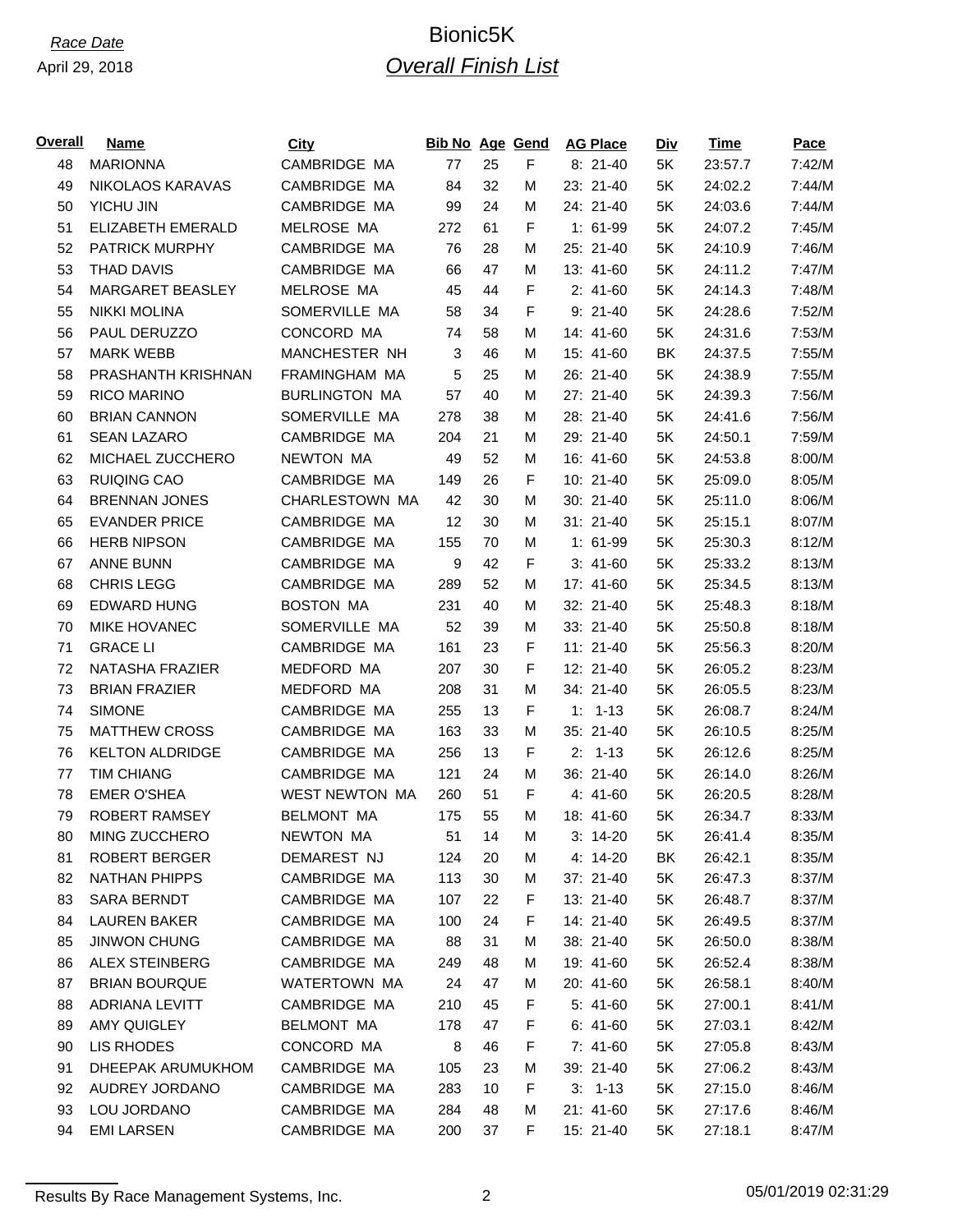April 29, 2018

# *Race Date* Bionic5K *Overall Finish List*

| <u>Overall</u> | Name                   | <b>City</b>           | <b>Bib No Age Gend</b> |    |             | <b>AG Place</b> | <b>Div</b> | <b>Time</b> | <u>Pace</u> |
|----------------|------------------------|-----------------------|------------------------|----|-------------|-----------------|------------|-------------|-------------|
| 48             | <b>MARIONNA</b>        | CAMBRIDGE MA          | 77                     | 25 | F           | $8:21-40$       | 5K         | 23:57.7     | 7:42/M      |
| 49             | NIKOLAOS KARAVAS       | CAMBRIDGE MA          | 84                     | 32 | м           | 23: 21-40       | 5K         | 24:02.2     | 7:44/M      |
| 50             | YICHU JIN              | CAMBRIDGE MA          | 99                     | 24 | м           | 24: 21-40       | 5K         | 24:03.6     | 7:44/M      |
| 51             | ELIZABETH EMERALD      | MELROSE MA            | 272                    | 61 | F           | $1: 61-99$      | 5K         | 24:07.2     | 7:45/M      |
| 52             | <b>PATRICK MURPHY</b>  | CAMBRIDGE MA          | 76                     | 28 | м           | 25: 21-40       | 5K         | 24:10.9     | 7:46/M      |
| 53             | <b>THAD DAVIS</b>      | CAMBRIDGE MA          | 66                     | 47 | M           | 13: 41-60       | 5K         | 24:11.2     | 7:47/M      |
| 54             | MARGARET BEASLEY       | MELROSE MA            | 45                     | 44 | F           | $2: 41-60$      | 5K         | 24:14.3     | 7:48/M      |
| 55             | <b>NIKKI MOLINA</b>    | SOMERVILLE MA         | 58                     | 34 | $\mathsf F$ | $9: 21-40$      | 5K         | 24:28.6     | 7:52/M      |
| 56             | PAUL DERUZZO           | CONCORD MA            | 74                     | 58 | м           | 14: 41-60       | 5K         | 24:31.6     | 7:53/M      |
| 57             | <b>MARK WEBB</b>       | MANCHESTER NH         | 3                      | 46 | м           | 15: 41-60       | BK         | 24:37.5     | 7:55/M      |
| 58             | PRASHANTH KRISHNAN     | FRAMINGHAM MA         | 5                      | 25 | М           | 26: 21-40       | 5K         | 24:38.9     | 7:55/M      |
| 59             | RICO MARINO            | <b>BURLINGTON MA</b>  | 57                     | 40 | M           | 27: 21-40       | 5K         | 24:39.3     | 7:56/M      |
| 60             | <b>BRIAN CANNON</b>    | SOMERVILLE MA         | 278                    | 38 | м           | 28: 21-40       | 5K         | 24:41.6     | 7:56/M      |
| 61             | <b>SEAN LAZARO</b>     | CAMBRIDGE MA          | 204                    | 21 | M           | 29: 21-40       | 5K         | 24:50.1     | 7:59/M      |
| 62             | MICHAEL ZUCCHERO       | <b>NEWTON MA</b>      | 49                     | 52 | м           | 16: 41-60       | 5K         | 24:53.8     | 8:00/M      |
| 63             | <b>RUIQING CAO</b>     | CAMBRIDGE MA          | 149                    | 26 | F           | 10: 21-40       | 5K         | 25:09.0     | 8:05/M      |
| 64             | <b>BRENNAN JONES</b>   | CHARLESTOWN MA        | 42                     | 30 | M           | 30: 21-40       | 5K         | 25:11.0     | 8:06/M      |
| 65             | <b>EVANDER PRICE</b>   | CAMBRIDGE MA          | 12                     | 30 | M           | 31: 21-40       | 5K         | 25:15.1     | 8:07/M      |
| 66             | <b>HERB NIPSON</b>     | CAMBRIDGE MA          | 155                    | 70 | м           | $1: 61-99$      | 5K         | 25:30.3     | 8:12/M      |
| 67             | <b>ANNE BUNN</b>       | CAMBRIDGE MA          | 9                      | 42 | F           | $3: 41-60$      | 5K         | 25:33.2     | 8:13/M      |
| 68             | <b>CHRIS LEGG</b>      | CAMBRIDGE MA          | 289                    | 52 | м           | 17: 41-60       | 5K         | 25:34.5     | 8:13/M      |
| 69             | <b>EDWARD HUNG</b>     | <b>BOSTON MA</b>      | 231                    | 40 | M           | 32: 21-40       | 5K         | 25:48.3     | 8:18/M      |
| 70             | <b>MIKE HOVANEC</b>    | SOMERVILLE MA         | 52                     | 39 | м           | 33: 21-40       | 5K         | 25:50.8     | 8:18/M      |
| 71             | <b>GRACE LI</b>        | CAMBRIDGE MA          | 161                    | 23 | $\mathsf F$ | $11: 21-40$     | 5K         | 25:56.3     | 8:20/M      |
| 72             | NATASHA FRAZIER        | MEDFORD MA            | 207                    | 30 | F           | 12: 21-40       | 5K         | 26:05.2     | 8:23/M      |
| 73             | <b>BRIAN FRAZIER</b>   | MEDFORD MA            | 208                    | 31 | M           | 34: 21-40       | 5K         | 26:05.5     | 8:23/M      |
| 74             | <b>SIMONE</b>          | CAMBRIDGE MA          | 255                    | 13 | F           | $1: 1 - 13$     | 5K         | 26:08.7     | 8:24/M      |
| 75             | <b>MATTHEW CROSS</b>   | CAMBRIDGE MA          | 163                    | 33 | M           | 35: 21-40       | 5K         | 26:10.5     | 8:25/M      |
| 76             | <b>KELTON ALDRIDGE</b> | CAMBRIDGE MA          | 256                    | 13 | F           | $2: 1-13$       | 5K         | 26:12.6     | 8:25/M      |
| 77             | <b>TIM CHIANG</b>      | CAMBRIDGE MA          | 121                    | 24 | M           | 36: 21-40       | 5K         | 26:14.0     | 8:26/M      |
| 78             | <b>EMER O'SHEA</b>     | <b>WEST NEWTON MA</b> | 260                    | 51 | F           | $4: 41-60$      | 5K         | 26:20.5     | 8:28/M      |
| 79             | <b>ROBERT RAMSEY</b>   | <b>BELMONT MA</b>     | 175                    | 55 | M           | 18: 41-60       | 5K         | 26:34.7     | 8:33/M      |
| 80             | MING ZUCCHERO          | NEWTON MA             | 51                     | 14 | M           | $3: 14-20$      | 5K         | 26:41.4     | 8:35/M      |
| 81             | <b>ROBERT BERGER</b>   | DEMAREST NJ           | 124                    | 20 | М           | 4: 14-20        | BK         | 26:42.1     | 8:35/M      |
| 82             | <b>NATHAN PHIPPS</b>   | CAMBRIDGE MA          | 113                    | 30 | Μ           | 37: 21-40       | 5K         | 26:47.3     | 8:37/M      |
| 83             | <b>SARA BERNDT</b>     | CAMBRIDGE MA          | 107                    | 22 | F           | 13: 21-40       | 5K         | 26:48.7     | 8:37/M      |
| 84             | <b>LAUREN BAKER</b>    | CAMBRIDGE MA          | 100                    | 24 | F           | 14: 21-40       | 5K         | 26:49.5     | 8:37/M      |
| 85             | <b>JINWON CHUNG</b>    | CAMBRIDGE MA          | 88                     | 31 | М           | 38: 21-40       | 5K         | 26:50.0     | 8:38/M      |
| 86             | <b>ALEX STEINBERG</b>  | CAMBRIDGE MA          | 249                    | 48 | м           | 19: 41-60       | 5K         | 26:52.4     | 8:38/M      |
| 87             | <b>BRIAN BOURQUE</b>   | <b>WATERTOWN MA</b>   | 24                     | 47 | Μ           | 20: 41-60       | 5K         | 26:58.1     | 8:40/M      |
| 88             | <b>ADRIANA LEVITT</b>  | CAMBRIDGE MA          | 210                    | 45 | F           | $5: 41-60$      | 5K         | 27:00.1     | 8:41/M      |
| 89             | AMY QUIGLEY            | <b>BELMONT MA</b>     | 178                    | 47 | F           | $6: 41-60$      | 5K         | 27:03.1     | 8:42/M      |
| 90             | LIS RHODES             | CONCORD MA            | 8                      | 46 | F           | $7: 41-60$      | 5K         | 27:05.8     | 8:43/M      |
| 91             | DHEEPAK ARUMUKHOM      | CAMBRIDGE MA          | 105                    | 23 | Μ           | 39: 21-40       | 5K         | 27:06.2     | 8:43/M      |
| 92             | AUDREY JORDANO         | CAMBRIDGE MA          | 283                    | 10 | F           | $3: 1-13$       | 5K         | 27:15.0     | 8:46/M      |
| 93             | LOU JORDANO            | CAMBRIDGE MA          | 284                    | 48 | Μ           | 21: 41-60       | 5K         | 27:17.6     | 8:46/M      |
| 94             | <b>EMI LARSEN</b>      | CAMBRIDGE MA          | 200                    | 37 | F.          | 15: 21-40       | 5K         | 27:18.1     | 8:47/M      |
|                |                        |                       |                        |    |             |                 |            |             |             |

Results By Race Management Systems, Inc. 2 2 2 05/01/2019 02:31:29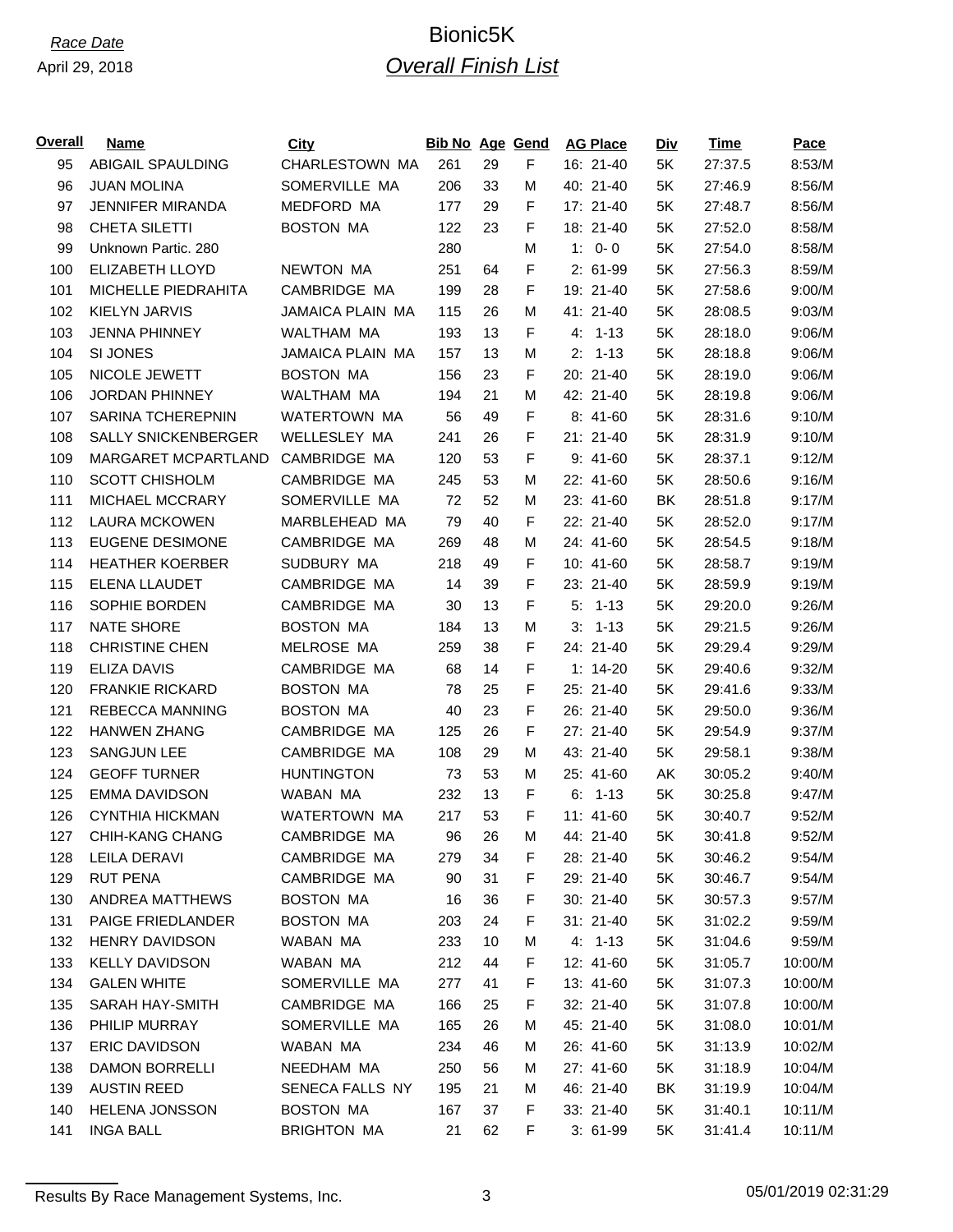| Overall | <b>Name</b>                | City                    | <b>Bib No Age Gend</b> |    |             | <b>AG Place</b> | <u>Div</u> | <b>Time</b> | Pace    |
|---------|----------------------------|-------------------------|------------------------|----|-------------|-----------------|------------|-------------|---------|
| 95      | <b>ABIGAIL SPAULDING</b>   | <b>CHARLESTOWN MA</b>   | 261                    | 29 | F           | 16: 21-40       | 5K         | 27:37.5     | 8:53/M  |
| 96      | <b>JUAN MOLINA</b>         | SOMERVILLE MA           | 206                    | 33 | M           | 40: 21-40       | 5K         | 27:46.9     | 8:56/M  |
| 97      | JENNIFER MIRANDA           | <b>MEDFORD MA</b>       | 177                    | 29 | F           | 17: 21-40       | 5K         | 27:48.7     | 8:56/M  |
| 98      | CHETA SILETTI              | <b>BOSTON MA</b>        | 122                    | 23 | F           | 18: 21-40       | 5K         | 27:52.0     | 8:58/M  |
| 99      | Unknown Partic. 280        |                         | 280                    |    | M           | $1: 0 - 0$      | 5K         | 27:54.0     | 8:58/M  |
| 100     | ELIZABETH LLOYD            | <b>NEWTON MA</b>        | 251                    | 64 | F           | 2: 61-99        | 5K         | 27:56.3     | 8:59/M  |
| 101     | MICHELLE PIEDRAHITA        | CAMBRIDGE MA            | 199                    | 28 | F           | 19: 21-40       | 5K         | 27:58.6     | 9:00/M  |
| 102     | <b>KIELYN JARVIS</b>       | <b>JAMAICA PLAIN MA</b> | 115                    | 26 | M           | 41: 21-40       | 5K         | 28:08.5     | 9:03/M  |
| 103     | <b>JENNA PHINNEY</b>       | WALTHAM MA              | 193                    | 13 | F           | $4: 1-13$       | 5K         | 28:18.0     | 9:06/M  |
| 104     | SI JONES                   | <b>JAMAICA PLAIN MA</b> | 157                    | 13 | M           | $2: 1-13$       | 5K         | 28:18.8     | 9:06/M  |
| 105     | NICOLE JEWETT              | <b>BOSTON MA</b>        | 156                    | 23 | F           | 20: 21-40       | 5K         | 28:19.0     | 9:06/M  |
| 106     | <b>JORDAN PHINNEY</b>      | WALTHAM MA              | 194                    | 21 | M           | 42: 21-40       | 5K         | 28:19.8     | 9:06/M  |
| 107     | SARINA TCHEREPNIN          | WATERTOWN MA            | 56                     | 49 | F           | $8:41-60$       | 5K         | 28:31.6     | 9:10/M  |
| 108     | <b>SALLY SNICKENBERGER</b> | <b>WELLESLEY MA</b>     | 241                    | 26 | F           | $21: 21 - 40$   | 5K         | 28:31.9     | 9:10/M  |
| 109     | MARGARET MCPARTLAND        | CAMBRIDGE MA            | 120                    | 53 | $\mathsf F$ | $9:41-60$       | 5K         | 28:37.1     | 9:12/M  |
| 110     | <b>SCOTT CHISHOLM</b>      | CAMBRIDGE MA            | 245                    | 53 | М           | 22: 41-60       | 5K         | 28:50.6     | 9:16/M  |
| 111     | MICHAEL MCCRARY            | SOMERVILLE MA           | 72                     | 52 | M           | 23: 41-60       | BK         | 28:51.8     | 9:17/M  |
| 112     | <b>LAURA MCKOWEN</b>       | MARBLEHEAD MA           | 79                     | 40 | F           | 22: 21-40       | 5K         | 28:52.0     | 9:17/M  |
| 113     | <b>EUGENE DESIMONE</b>     | CAMBRIDGE MA            | 269                    | 48 | M           | 24: 41-60       | 5K         | 28:54.5     | 9:18/M  |
| 114     | <b>HEATHER KOERBER</b>     | SUDBURY MA              | 218                    | 49 | F           | 10: 41-60       | 5K         | 28:58.7     | 9:19/M  |
| 115     | ELENA LLAUDET              | CAMBRIDGE MA            | 14                     | 39 | F           | 23: 21-40       | 5K         | 28:59.9     | 9:19/M  |
| 116     | SOPHIE BORDEN              | CAMBRIDGE MA            | 30                     | 13 | F           | 5:<br>1-13      | 5K         | 29:20.0     | 9:26/M  |
| 117     | <b>NATE SHORE</b>          | <b>BOSTON MA</b>        | 184                    | 13 | M           | 3:<br>1-13      | 5K         | 29:21.5     | 9:26/M  |
| 118     | <b>CHRISTINE CHEN</b>      | MELROSE MA              | 259                    | 38 | F           | 24: 21-40       | 5K         | 29:29.4     | 9:29/M  |
| 119     | <b>ELIZA DAVIS</b>         | CAMBRIDGE MA            | 68                     | 14 | F           | $1: 14-20$      | 5K         | 29:40.6     | 9:32/M  |
| 120     | <b>FRANKIE RICKARD</b>     | <b>BOSTON MA</b>        | 78                     | 25 | F           | 25: 21-40       | 5K         | 29:41.6     | 9:33/M  |
| 121     | <b>REBECCA MANNING</b>     | <b>BOSTON MA</b>        | 40                     | 23 | F           | 26: 21-40       | 5K         | 29:50.0     | 9:36/M  |
| 122     | <b>HANWEN ZHANG</b>        | CAMBRIDGE MA            | 125                    | 26 | F           | 27: 21-40       | 5K         | 29:54.9     | 9:37/M  |
| 123     | <b>SANGJUN LEE</b>         | CAMBRIDGE MA            | 108                    | 29 | M           | 43: 21-40       | 5K         | 29:58.1     | 9:38/M  |
| 124     | <b>GEOFF TURNER</b>        | <b>HUNTINGTON</b>       | 73                     | 53 | М           | 25: 41-60       | AK         | 30:05.2     | 9:40/M  |
| 125     | <b>EMMA DAVIDSON</b>       | WABAN MA                | 232                    | 13 | F           | 1-13<br>6.      | 5K         | 30:25.8     | 9:47/M  |
| 126     | <b>CYNTHIA HICKMAN</b>     | WATERTOWN MA            | 217                    | 53 | F           | 11: 41-60       | 5K         | 30:40.7     | 9:52/M  |
| 127     | CHIH-KANG CHANG            | CAMBRIDGE MA            | 96                     | 26 | М           | 44: 21-40       | 5K         | 30:41.8     | 9:52/M  |
| 128     | <b>LEILA DERAVI</b>        | CAMBRIDGE MA            | 279                    | 34 | F           | 28: 21-40       | 5K         | 30:46.2     | 9:54/M  |
| 129     | <b>RUT PENA</b>            | CAMBRIDGE MA            | 90                     | 31 | F           | 29: 21-40       | 5K         | 30:46.7     | 9:54/M  |
| 130     | ANDREA MATTHEWS            | <b>BOSTON MA</b>        | 16                     | 36 | F           | 30: 21-40       | 5K         | 30:57.3     | 9:57/M  |
| 131     | PAIGE FRIEDLANDER          | <b>BOSTON MA</b>        | 203                    | 24 | F           | $31: 21-40$     | 5K         | 31:02.2     | 9:59/M  |
| 132     | <b>HENRY DAVIDSON</b>      | WABAN MA                | 233                    | 10 | M           | $4: 1-13$       | 5K         | 31:04.6     | 9:59/M  |
| 133     | <b>KELLY DAVIDSON</b>      | WABAN MA                | 212                    | 44 | F           | 12: 41-60       | 5K         | 31:05.7     | 10:00/M |
| 134     | <b>GALEN WHITE</b>         | SOMERVILLE MA           | 277                    | 41 | F           | 13: 41-60       | 5K         | 31:07.3     | 10:00/M |
| 135     | <b>SARAH HAY-SMITH</b>     | CAMBRIDGE MA            | 166                    | 25 | F           | 32: 21-40       | 5K         | 31:07.8     | 10:00/M |
| 136     | PHILIP MURRAY              | SOMERVILLE MA           | 165                    | 26 | M           | 45: 21-40       | 5K         | 31:08.0     | 10:01/M |
| 137     | <b>ERIC DAVIDSON</b>       | WABAN MA                | 234                    | 46 | м           | 26: 41-60       | 5K         | 31:13.9     | 10:02/M |
| 138     | <b>DAMON BORRELLI</b>      | NEEDHAM MA              | 250                    | 56 | м           | 27: 41-60       | 5K         | 31:18.9     | 10:04/M |
| 139     | <b>AUSTIN REED</b>         | SENECA FALLS NY         | 195                    | 21 | м           | 46: 21-40       | BK         | 31:19.9     | 10:04/M |
| 140     | <b>HELENA JONSSON</b>      | <b>BOSTON MA</b>        | 167                    | 37 | F           | 33: 21-40       | 5K         | 31:40.1     | 10:11/M |
| 141     | <b>INGA BALL</b>           | <b>BRIGHTON MA</b>      | 21                     | 62 | F           | $3:61-99$       | 5K         | 31:41.4     | 10:11/M |
|         |                            |                         |                        |    |             |                 |            |             |         |

Results By Race Management Systems, Inc. 23 3 29 25/01/2019 02:31:29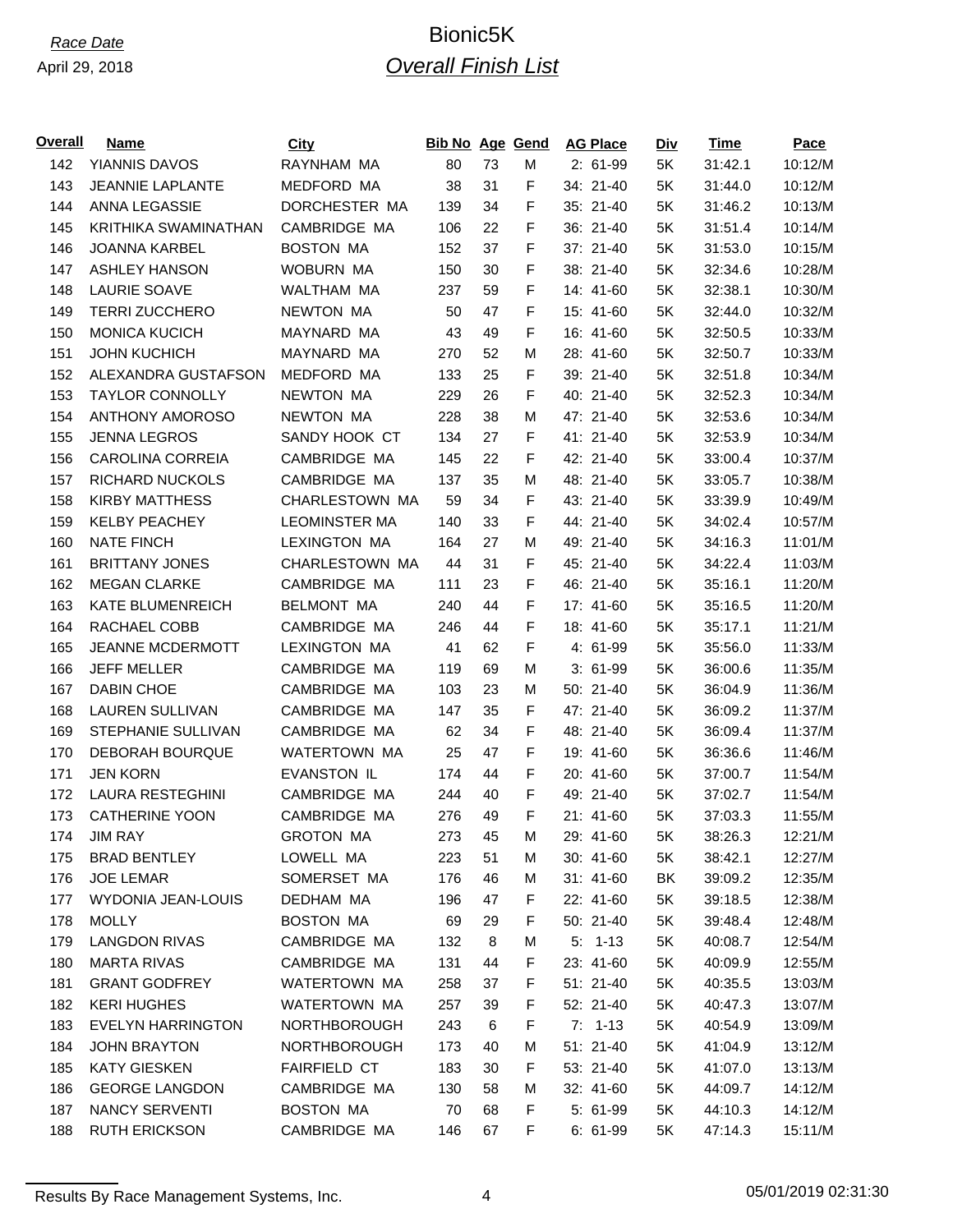| <b>Overall</b> | <b>Name</b>               | City                  | <b>Bib No Age Gend</b> |    |             | <b>AG Place</b> | Div | Time    | Pace    |
|----------------|---------------------------|-----------------------|------------------------|----|-------------|-----------------|-----|---------|---------|
| 142            | YIANNIS DAVOS             | RAYNHAM MA            | 80                     | 73 | Μ           | $2: 61-99$      | 5K  | 31:42.1 | 10:12/M |
| 143            | <b>JEANNIE LAPLANTE</b>   | MEDFORD MA            | 38                     | 31 | F           | 34: 21-40       | 5K  | 31:44.0 | 10:12/M |
| 144            | ANNA LEGASSIE             | DORCHESTER MA         | 139                    | 34 | F           | 35: 21-40       | 5K  | 31:46.2 | 10:13/M |
| 145            | KRITHIKA SWAMINATHAN      | CAMBRIDGE MA          | 106                    | 22 | F           | 36: 21-40       | 5K  | 31:51.4 | 10:14/M |
| 146            | <b>JOANNA KARBEL</b>      | <b>BOSTON MA</b>      | 152                    | 37 | F           | 37: 21-40       | 5K  | 31:53.0 | 10:15/M |
| 147            | <b>ASHLEY HANSON</b>      | <b>WOBURN MA</b>      | 150                    | 30 | F           | 38: 21-40       | 5K  | 32:34.6 | 10:28/M |
| 148            | <b>LAURIE SOAVE</b>       | WALTHAM MA            | 237                    | 59 | F           | 14: 41-60       | 5K  | 32:38.1 | 10:30/M |
| 149            | <b>TERRI ZUCCHERO</b>     | <b>NEWTON MA</b>      | 50                     | 47 | F           | 15: 41-60       | 5K  | 32:44.0 | 10:32/M |
| 150            | <b>MONICA KUCICH</b>      | MAYNARD MA            | 43                     | 49 | F           | 16: 41-60       | 5K  | 32:50.5 | 10:33/M |
| 151            | <b>JOHN KUCHICH</b>       | MAYNARD MA            | 270                    | 52 | M           | 28: 41-60       | 5K  | 32:50.7 | 10:33/M |
| 152            | ALEXANDRA GUSTAFSON       | MEDFORD MA            | 133                    | 25 | F           | 39: 21-40       | 5K  | 32:51.8 | 10:34/M |
| 153            | <b>TAYLOR CONNOLLY</b>    | <b>NEWTON MA</b>      | 229                    | 26 | F           | 40: 21-40       | 5K  | 32:52.3 | 10:34/M |
| 154            | <b>ANTHONY AMOROSO</b>    | <b>NEWTON MA</b>      | 228                    | 38 | Μ           | 47: 21-40       | 5K  | 32:53.6 | 10:34/M |
| 155            | <b>JENNA LEGROS</b>       | SANDY HOOK CT         | 134                    | 27 | F           | 41: 21-40       | 5K  | 32:53.9 | 10:34/M |
| 156            | <b>CAROLINA CORREIA</b>   | CAMBRIDGE MA          | 145                    | 22 | F           | 42: 21-40       | 5K  | 33:00.4 | 10:37/M |
| 157            | <b>RICHARD NUCKOLS</b>    | CAMBRIDGE MA          | 137                    | 35 | М           | 48: 21-40       | 5K  | 33:05.7 | 10:38/M |
| 158            | <b>KIRBY MATTHESS</b>     | <b>CHARLESTOWN MA</b> | 59                     | 34 | F.          | 43: 21-40       | 5K  | 33:39.9 | 10:49/M |
| 159            | <b>KELBY PEACHEY</b>      | <b>LEOMINSTER MA</b>  | 140                    | 33 | F           | 44: 21-40       | 5K  | 34:02.4 | 10:57/M |
| 160            | <b>NATE FINCH</b>         | <b>LEXINGTON MA</b>   | 164                    | 27 | Μ           | 49: 21-40       | 5K  | 34:16.3 | 11:01/M |
| 161            | <b>BRITTANY JONES</b>     | CHARLESTOWN MA        | 44                     | 31 | F           | 45: 21-40       | 5K  | 34:22.4 | 11:03/M |
| 162            | <b>MEGAN CLARKE</b>       | CAMBRIDGE MA          | 111                    | 23 | F           | 46: 21-40       | 5K  | 35:16.1 | 11:20/M |
| 163            | <b>KATE BLUMENREICH</b>   | <b>BELMONT MA</b>     | 240                    | 44 | $\mathsf F$ | 17: 41-60       | 5K  | 35:16.5 | 11:20/M |
| 164            | RACHAEL COBB              | CAMBRIDGE MA          | 246                    | 44 | F           | 18: 41-60       | 5K  | 35:17.1 | 11:21/M |
| 165            | JEANNE MCDERMOTT          | <b>LEXINGTON MA</b>   | 41                     | 62 | F           | $4:61-99$       | 5K  | 35:56.0 | 11:33/M |
| 166            | <b>JEFF MELLER</b>        | CAMBRIDGE MA          | 119                    | 69 | Μ           | $3:61-99$       | 5K  | 36:00.6 | 11:35/M |
| 167            | <b>DABIN CHOE</b>         | CAMBRIDGE MA          | 103                    | 23 | Μ           | 50: 21-40       | 5K  | 36:04.9 | 11:36/M |
| 168            | <b>LAUREN SULLIVAN</b>    | CAMBRIDGE MA          | 147                    | 35 | F           | 47: 21-40       | 5K  | 36:09.2 | 11:37/M |
| 169            | STEPHANIE SULLIVAN        | CAMBRIDGE MA          | 62                     | 34 | F           | 48: 21-40       | 5K  | 36:09.4 | 11:37/M |
| 170            | DEBORAH BOURQUE           | WATERTOWN MA          | 25                     | 47 | F           | 19: 41-60       | 5K  | 36:36.6 | 11:46/M |
| 171            | <b>JEN KORN</b>           | <b>EVANSTON IL</b>    | 174                    | 44 | F           | 20: 41-60       | 5K  | 37:00.7 | 11:54/M |
| 172            | <b>LAURA RESTEGHINI</b>   | CAMBRIDGE MA          | 244                    | 40 | F           | 49: 21-40       | 5K  | 37:02.7 | 11:54/M |
| 173            | <b>CATHERINE YOON</b>     | CAMBRIDGE MA          | 276                    | 49 | F           | 21: 41-60       | 5K  | 37:03.3 | 11:55/M |
| 174            | <b>JIM RAY</b>            | <b>GROTON MA</b>      | 273                    | 45 | М           | 29: 41-60       | 5K  | 38:26.3 | 12:21/M |
| 175            | <b>BRAD BENTLEY</b>       | LOWELL MA             | 223                    | 51 | м           | 30: 41-60       | 5K  | 38:42.1 | 12:27/M |
| 176            | <b>JOE LEMAR</b>          | SOMERSET MA           | 176                    | 46 | Μ           | $31: 41-60$     | BK  | 39:09.2 | 12:35/M |
| 177            | <b>WYDONIA JEAN-LOUIS</b> | DEDHAM MA             | 196                    | 47 | F           | 22: 41-60       | 5K  | 39:18.5 | 12:38/M |
| 178            | <b>MOLLY</b>              | <b>BOSTON MA</b>      | 69                     | 29 | F           | 50: 21-40       | 5K  | 39:48.4 | 12:48/M |
| 179            | <b>LANGDON RIVAS</b>      | CAMBRIDGE MA          | 132                    | 8  | М           | $5: 1-13$       | 5K  | 40:08.7 | 12:54/M |
| 180            | <b>MARTA RIVAS</b>        | CAMBRIDGE MA          | 131                    | 44 | F           | 23: 41-60       | 5K  | 40:09.9 | 12:55/M |
| 181            | <b>GRANT GODFREY</b>      | WATERTOWN MA          | 258                    | 37 | F           | $51: 21-40$     | 5K  | 40:35.5 | 13:03/M |
| 182            | <b>KERI HUGHES</b>        | WATERTOWN MA          | 257                    | 39 | F           | 52: 21-40       | 5K  | 40:47.3 | 13:07/M |
| 183            | <b>EVELYN HARRINGTON</b>  | <b>NORTHBOROUGH</b>   | 243                    | 6  | F           | $7: 1-13$       | 5K  | 40:54.9 | 13:09/M |
| 184            | <b>JOHN BRAYTON</b>       | <b>NORTHBOROUGH</b>   | 173                    | 40 | Μ           | $51: 21-40$     | 5K  | 41:04.9 | 13:12/M |
| 185            | <b>KATY GIESKEN</b>       | <b>FAIRFIELD CT</b>   | 183                    | 30 | F           | 53: 21-40       | 5K  | 41:07.0 | 13:13/M |
| 186            | <b>GEORGE LANGDON</b>     | CAMBRIDGE MA          | 130                    | 58 | М           | 32: 41-60       | 5K  | 44:09.7 | 14:12/M |
| 187            | NANCY SERVENTI            | <b>BOSTON MA</b>      | 70                     | 68 | F           | $5:61-99$       | 5K  | 44:10.3 | 14:12/M |
|                | <b>RUTH ERICKSON</b>      |                       |                        | 67 | F           |                 |     |         |         |
| 188            |                           | CAMBRIDGE MA          | 146                    |    |             | $6: 61-99$      | 5K  | 47:14.3 | 15:11/M |

Results By Race Management Systems, Inc. 4 05/01/2019 02:31:30